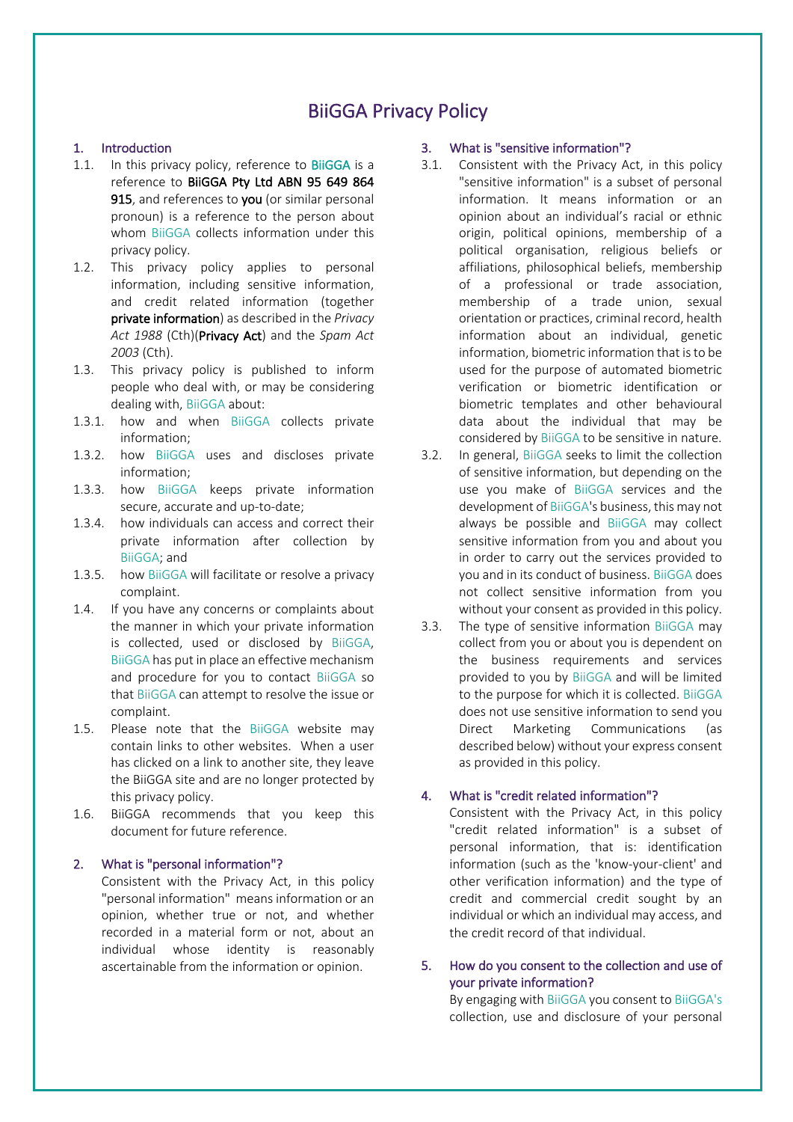# BiiGGA Privacy Policy

# 1. Introduction

- 1.1. In this privacy policy, reference to BiiGGA is a reference to BiiGGA Pty Ltd ABN 95 649 864 915, and references to you (or similar personal pronoun) is a reference to the person about whom BiiGGA collects information under this privacy policy.
- 1.2. This privacy policy applies to personal information, including sensitive information, and credit related information (together private information) as described in the *Privacy Act 1988* (Cth)(Privacy Act) and the *Spam Act 2003* (Cth).
- 1.3. This privacy policy is published to inform people who deal with, or may be considering dealing with, BiiGGA about:
- 1.3.1. how and when BiiGGA collects private information;
- 1.3.2. how BiiGGA uses and discloses private information;
- 1.3.3. how BiiGGA keeps private information secure, accurate and up-to-date;
- 1.3.4. how individuals can access and correct their private information after collection by BiiGGA; and
- 1.3.5. how BiiGGA will facilitate or resolve a privacy complaint.
- 1.4. If you have any concerns or complaints about the manner in which your private information is collected, used or disclosed by BiiGGA, BiiGGA has put in place an effective mechanism and procedure for you to contact BiiGGA so that BiiGGA can attempt to resolve the issue or complaint.
- 1.5. Please note that the BiiGGA website may contain links to other websites. When a user has clicked on a link to another site, they leave the BiiGGA site and are no longer protected by this privacy policy.
- 1.6. BiiGGA recommends that you keep this document for future reference.

# 2. What is "personal information"?

Consistent with the Privacy Act, in this policy "personal information" means information or an opinion, whether true or not, and whether recorded in a material form or not, about an individual whose identity is reasonably ascertainable from the information or opinion.

# 3. What is "sensitive information"?

- 3.1. Consistent with the Privacy Act, in this policy "sensitive information" is a subset of personal information. It means information or an opinion about an individual's racial or ethnic origin, political opinions, membership of a political organisation, religious beliefs or affiliations, philosophical beliefs, membership of a professional or trade association, membership of a trade union, sexual orientation or practices, criminal record, health information about an individual, genetic information, biometric information that is to be used for the purpose of automated biometric verification or biometric identification or biometric templates and other behavioural data about the individual that may be considered by BiiGGA to be sensitive in nature.
- 3.2. In general, BiiGGA seeks to limit the collection of sensitive information, but depending on the use you make of BiiGGA services and the development of BiiGGA's business, this may not always be possible and BiiGGA may collect sensitive information from you and about you in order to carry out the services provided to you and in its conduct of business. BiiGGA does not collect sensitive information from you without your consent as provided in this policy.
- 3.3. The type of sensitive information BiiGGA may collect from you or about you is dependent on the business requirements and services provided to you by BiiGGA and will be limited to the purpose for which it is collected. BiiGGA does not use sensitive information to send you Direct Marketing Communications (as described below) without your express consent as provided in this policy.

# 4. What is "credit related information"?

Consistent with the Privacy Act, in this policy "credit related information" is a subset of personal information, that is: identification information (such as the 'know-your-client' and other verification information) and the type of credit and commercial credit sought by an individual or which an individual may access, and the credit record of that individual.

# 5. How do you consent to the collection and use of your private information?

By engaging with BiiGGA you consent to BiiGGA's collection, use and disclosure of your personal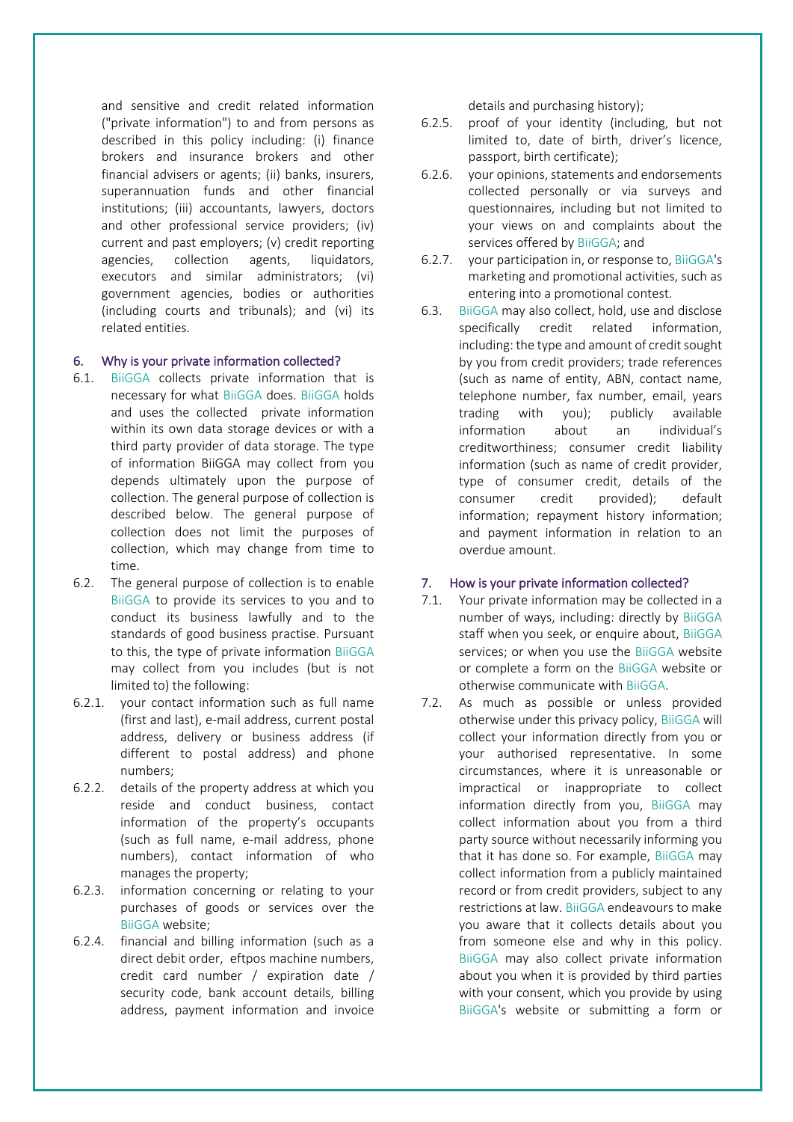and sensitive and credit related information ("private information") to and from persons as described in this policy including: (i) finance brokers and insurance brokers and other financial advisers or agents; (ii) banks, insurers, superannuation funds and other financial institutions; (iii) accountants, lawyers, doctors and other professional service providers; (iv) current and past employers; (v) credit reporting agencies, collection agents, liquidators, executors and similar administrators; (vi) government agencies, bodies or authorities (including courts and tribunals); and (vi) its related entities.

# 6. Why is your private information collected?

- 6.1. BiiGGA collects private information that is necessary for what BiiGGA does. BiiGGA holds and uses the collected private information within its own data storage devices or with a third party provider of data storage. The type of information BiiGGA may collect from you depends ultimately upon the purpose of collection. The general purpose of collection is described below. The general purpose of collection does not limit the purposes of collection, which may change from time to time.
- 6.2. The general purpose of collection is to enable BiiGGA to provide its services to you and to conduct its business lawfully and to the standards of good business practise. Pursuant to this, the type of private information BiiGGA may collect from you includes (but is not limited to) the following:
- 6.2.1. your contact information such as full name (first and last), e-mail address, current postal address, delivery or business address (if different to postal address) and phone numbers;
- 6.2.2. details of the property address at which you reside and conduct business, contact information of the property's occupants (such as full name, e-mail address, phone numbers), contact information of who manages the property;
- 6.2.3. information concerning or relating to your purchases of goods or services over the BiiGGA website;
- 6.2.4. financial and billing information (such as a direct debit order, eftpos machine numbers, credit card number / expiration date / security code, bank account details, billing address, payment information and invoice

details and purchasing history);

- 6.2.5. proof of your identity (including, but not limited to, date of birth, driver's licence, passport, birth certificate);
- 6.2.6. your opinions, statements and endorsements collected personally or via surveys and questionnaires, including but not limited to your views on and complaints about the services offered by BiiGGA; and
- 6.2.7. your participation in, or response to, BiiGGA's marketing and promotional activities, such as entering into a promotional contest.
- 6.3. BiiGGA may also collect, hold, use and disclose specifically credit related information, including: the type and amount of credit sought by you from credit providers; trade references (such as name of entity, ABN, contact name, telephone number, fax number, email, years trading with you); publicly available information about an individual's creditworthiness; consumer credit liability information (such as name of credit provider, type of consumer credit, details of the consumer credit provided); default information; repayment history information; and payment information in relation to an overdue amount.

#### 7. How is your private information collected?

- 7.1. Your private information may be collected in a number of ways, including: directly by BiiGGA staff when you seek, or enquire about, BiiGGA services; or when you use the BiiGGA website or complete a form on the BiiGGA website or otherwise communicate with BiiGGA.
- 7.2. As much as possible or unless provided otherwise under this privacy policy, BiiGGA will collect your information directly from you or your authorised representative. In some circumstances, where it is unreasonable or impractical or inappropriate to collect information directly from you, BiiGGA may collect information about you from a third party source without necessarily informing you that it has done so. For example, BiiGGA may collect information from a publicly maintained record or from credit providers, subject to any restrictions at law. BiiGGA endeavours to make you aware that it collects details about you from someone else and why in this policy. BiiGGA may also collect private information about you when it is provided by third parties with your consent, which you provide by using BiiGGA's website or submitting a form or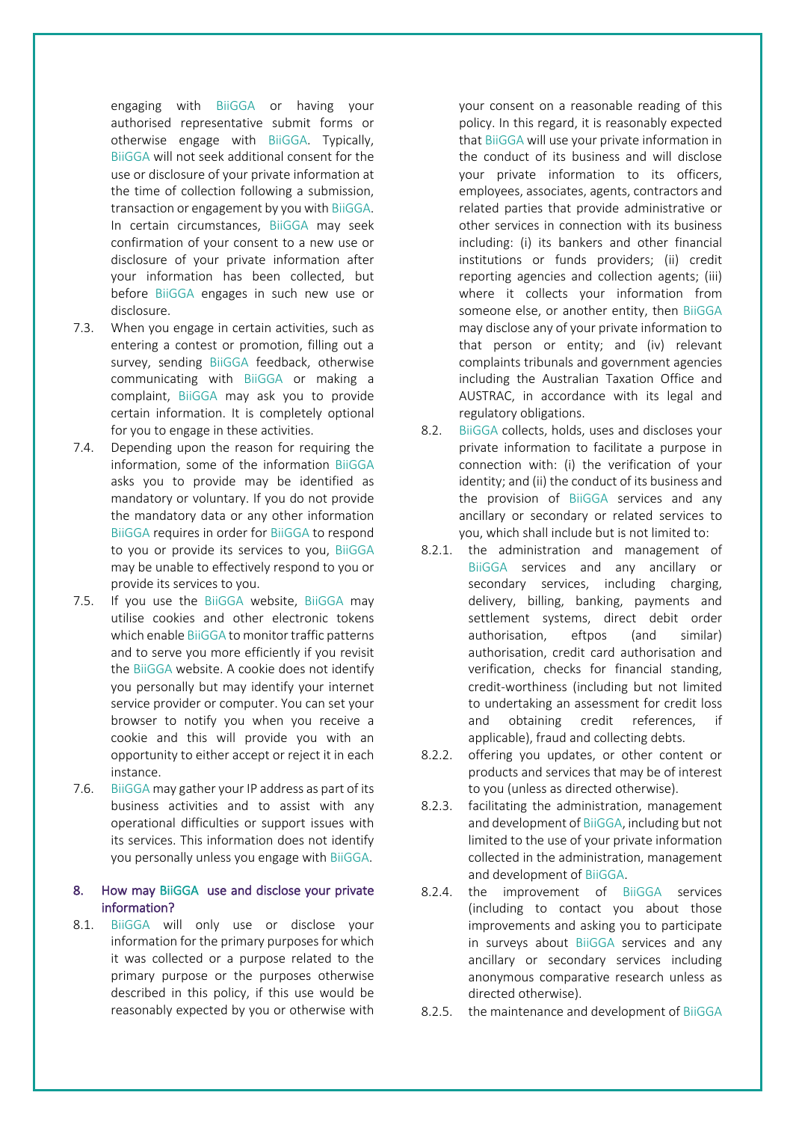engaging with BiiGGA or having your authorised representative submit forms or otherwise engage with BiiGGA. Typically, BiiGGA will not seek additional consent for the use or disclosure of your private information at the time of collection following a submission, transaction or engagement by you with BiiGGA. In certain circumstances, BiiGGA may seek confirmation of your consent to a new use or disclosure of your private information after your information has been collected, but before BiiGGA engages in such new use or disclosure.

- 7.3. When you engage in certain activities, such as entering a contest or promotion, filling out a survey, sending BiiGGA feedback, otherwise communicating with BiiGGA or making a complaint, BiiGGA may ask you to provide certain information. It is completely optional for you to engage in these activities.
- 7.4. Depending upon the reason for requiring the information, some of the information BiiGGA asks you to provide may be identified as mandatory or voluntary. If you do not provide the mandatory data or any other information BiiGGA requires in order for BiiGGA to respond to you or provide its services to you, BiiGGA may be unable to effectively respond to you or provide its services to you.
- 7.5. If you use the BiiGGA website, BiiGGA may utilise cookies and other electronic tokens which enable BiiGGA to monitor traffic patterns and to serve you more efficiently if you revisit the BiiGGA website. A cookie does not identify you personally but may identify your internet service provider or computer. You can set your browser to notify you when you receive a cookie and this will provide you with an opportunity to either accept or reject it in each instance.
- 7.6. BiiGGA may gather your IP address as part of its business activities and to assist with any operational difficulties or support issues with its services. This information does not identify you personally unless you engage with BiiGGA.

# 8. How may BiiGGA use and disclose your private information?

8.1. BiiGGA will only use or disclose your information for the primary purposes for which it was collected or a purpose related to the primary purpose or the purposes otherwise described in this policy, if this use would be reasonably expected by you or otherwise with

your consent on a reasonable reading of this policy. In this regard, it is reasonably expected that BiiGGA will use your private information in the conduct of its business and will disclose your private information to its officers, employees, associates, agents, contractors and related parties that provide administrative or other services in connection with its business including: (i) its bankers and other financial institutions or funds providers; (ii) credit reporting agencies and collection agents; (iii) where it collects your information from someone else, or another entity, then BiiGGA may disclose any of your private information to that person or entity; and (iv) relevant complaints tribunals and government agencies including the Australian Taxation Office and AUSTRAC, in accordance with its legal and regulatory obligations.

- 8.2. BiiGGA collects, holds, uses and discloses your private information to facilitate a purpose in connection with: (i) the verification of your identity; and (ii) the conduct of its business and the provision of BiiGGA services and any ancillary or secondary or related services to you, which shall include but is not limited to:
- 8.2.1. the administration and management of BiiGGA services and any ancillary or secondary services, including charging, delivery, billing, banking, payments and settlement systems, direct debit order authorisation, eftpos (and similar) authorisation, credit card authorisation and verification, checks for financial standing, credit-worthiness (including but not limited to undertaking an assessment for credit loss and obtaining credit references, if applicable), fraud and collecting debts.
- 8.2.2. offering you updates, or other content or products and services that may be of interest to you (unless as directed otherwise).
- 8.2.3. facilitating the administration, management and development of BiiGGA, including but not limited to the use of your private information collected in the administration, management and development of BiiGGA.
- 8.2.4. the improvement of BiiGGA services (including to contact you about those improvements and asking you to participate in surveys about BiiGGA services and any ancillary or secondary services including anonymous comparative research unless as directed otherwise).
- 8.2.5. the maintenance and development of BiiGGA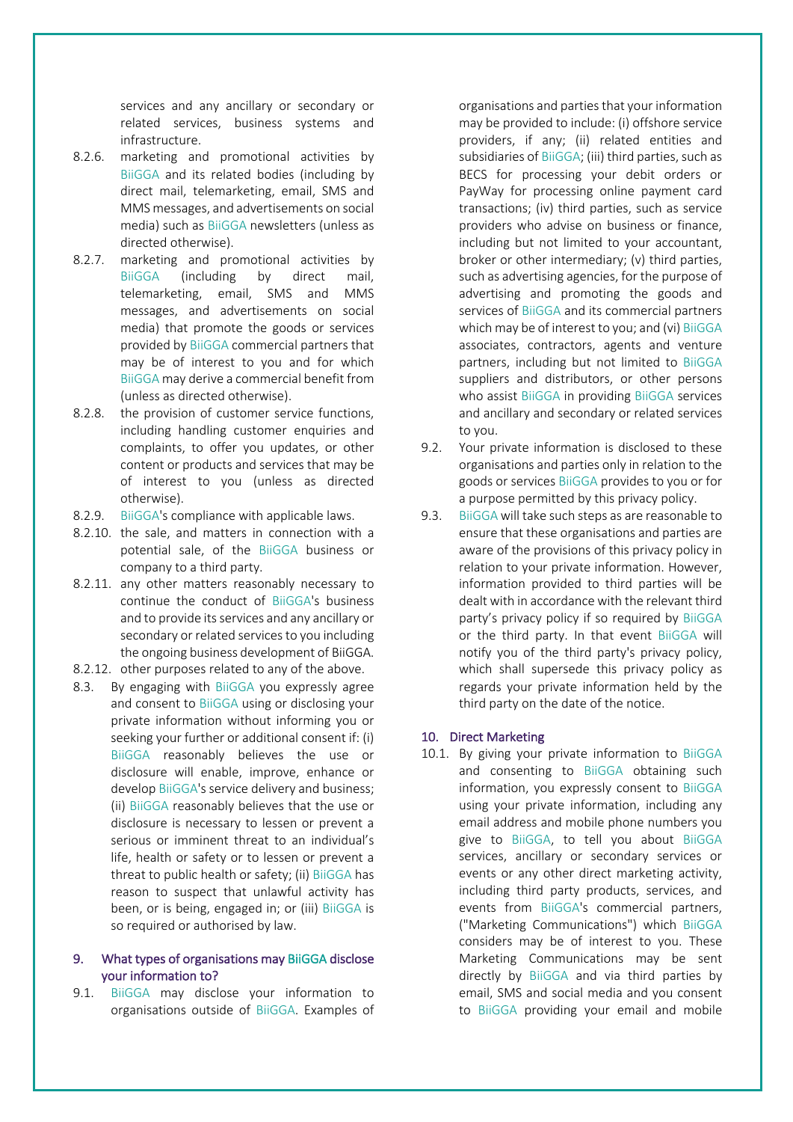services and any ancillary or secondary or related services, business systems and infrastructure.

- 8.2.6. marketing and promotional activities by BiiGGA and its related bodies (including by direct mail, telemarketing, email, SMS and MMS messages, and advertisements on social media) such as BiiGGA newsletters (unless as directed otherwise).
- 8.2.7. marketing and promotional activities by BiiGGA (including by direct mail, telemarketing, email, SMS and MMS messages, and advertisements on social media) that promote the goods or services provided by BiiGGA commercial partners that may be of interest to you and for which BiiGGA may derive a commercial benefit from (unless as directed otherwise).
- 8.2.8. the provision of customer service functions, including handling customer enquiries and complaints, to offer you updates, or other content or products and services that may be of interest to you (unless as directed otherwise).
- 8.2.9. BiiGGA's compliance with applicable laws.
- 8.2.10. the sale, and matters in connection with a potential sale, of the BiiGGA business or company to a third party.
- 8.2.11. any other matters reasonably necessary to continue the conduct of BiiGGA's business and to provide its services and any ancillary or secondary or related services to you including the ongoing business development of BiiGGA.
- 8.2.12. other purposes related to any of the above.
- 8.3. By engaging with BiiGGA you expressly agree and consent to BiiGGA using or disclosing your private information without informing you or seeking your further or additional consent if: (i) BiiGGA reasonably believes the use or disclosure will enable, improve, enhance or develop BiiGGA's service delivery and business; (ii) BiiGGA reasonably believes that the use or disclosure is necessary to lessen or prevent a serious or imminent threat to an individual's life, health or safety or to lessen or prevent a threat to public health or safety; (ii) BiiGGA has reason to suspect that unlawful activity has been, or is being, engaged in; or (iii) BiiGGA is so required or authorised by law.

# 9. What types of organisations may BiiGGA disclose your information to?

9.1. BiiGGA may disclose your information to organisations outside of BiiGGA. Examples of

organisations and parties that your information may be provided to include: (i) offshore service providers, if any; (ii) related entities and subsidiaries of BiiGGA; (iii) third parties, such as BECS for processing your debit orders or PayWay for processing online payment card transactions; (iv) third parties, such as service providers who advise on business or finance, including but not limited to your accountant, broker or other intermediary; (v) third parties, such as advertising agencies, for the purpose of advertising and promoting the goods and services of BiiGGA and its commercial partners which may be of interest to you; and (vi) BiiGGA associates, contractors, agents and venture partners, including but not limited to BiiGGA suppliers and distributors, or other persons who assist BiiGGA in providing BiiGGA services and ancillary and secondary or related services to you.

- 9.2. Your private information is disclosed to these organisations and parties only in relation to the goods or services BiiGGA provides to you or for a purpose permitted by this privacy policy.
- 9.3. BiiGGA will take such steps as are reasonable to ensure that these organisations and parties are aware of the provisions of this privacy policy in relation to your private information. However, information provided to third parties will be dealt with in accordance with the relevant third party's privacy policy if so required by BiiGGA or the third party. In that event BiiGGA will notify you of the third party's privacy policy, which shall supersede this privacy policy as regards your private information held by the third party on the date of the notice.

# 10. Direct Marketing

10.1. By giving your private information to BiiGGA and consenting to BiiGGA obtaining such information, you expressly consent to BiiGGA using your private information, including any email address and mobile phone numbers you give to BiiGGA, to tell you about BiiGGA services, ancillary or secondary services or events or any other direct marketing activity, including third party products, services, and events from BiiGGA's commercial partners, ("Marketing Communications") which BiiGGA considers may be of interest to you. These Marketing Communications may be sent directly by BiiGGA and via third parties by email, SMS and social media and you consent to BiiGGA providing your email and mobile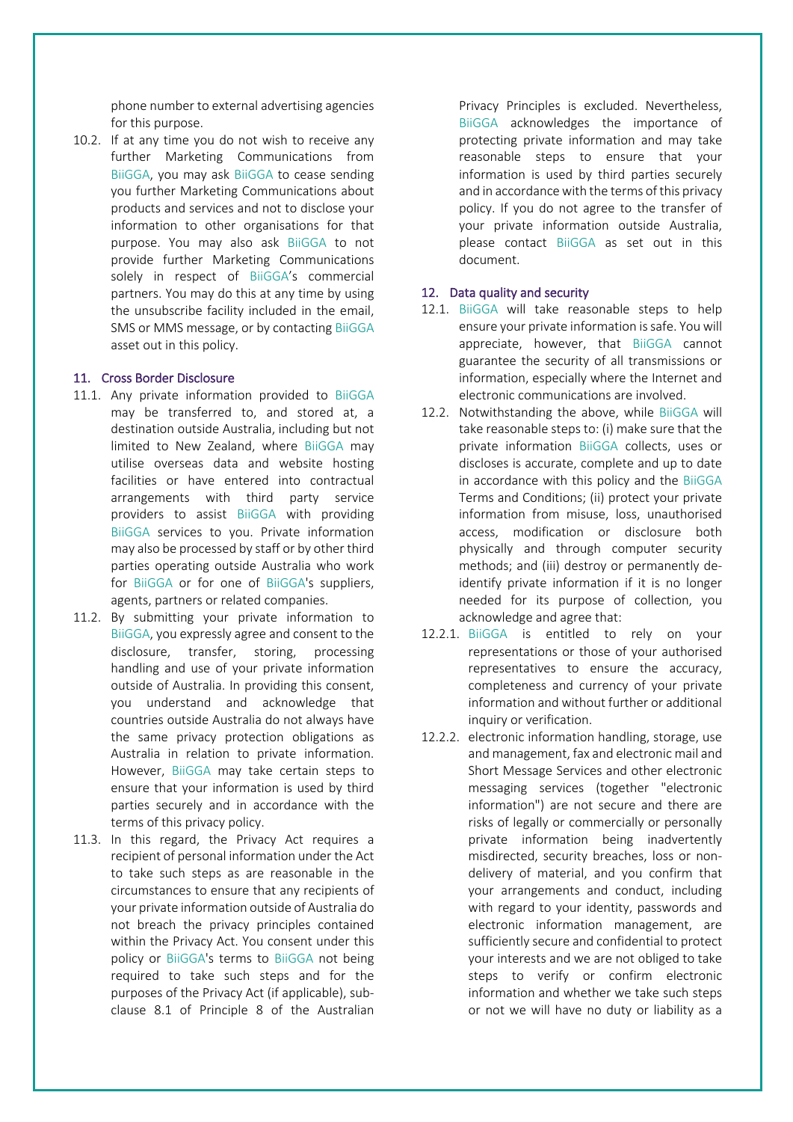phone number to external advertising agencies for this purpose.

10.2. If at any time you do not wish to receive any further Marketing Communications from BiiGGA, you may ask BiiGGA to cease sending you further Marketing Communications about products and services and not to disclose your information to other organisations for that purpose. You may also ask BiiGGA to not provide further Marketing Communications solely in respect of BiiGGA's commercial partners. You may do this at any time by using the unsubscribe facility included in the email, SMS or MMS message, or by contacting BiiGGA asset out in this policy.

#### 11. Cross Border Disclosure

- 11.1. Any private information provided to BiiGGA may be transferred to, and stored at, a destination outside Australia, including but not limited to New Zealand, where BiiGGA may utilise overseas data and website hosting facilities or have entered into contractual arrangements with third party service providers to assist BiiGGA with providing BiiGGA services to you. Private information may also be processed by staff or by other third parties operating outside Australia who work for BiiGGA or for one of BiiGGA's suppliers, agents, partners or related companies.
- 11.2. By submitting your private information to BiiGGA, you expressly agree and consent to the disclosure, transfer, storing, processing handling and use of your private information outside of Australia. In providing this consent, you understand and acknowledge that countries outside Australia do not always have the same privacy protection obligations as Australia in relation to private information. However, BiiGGA may take certain steps to ensure that your information is used by third parties securely and in accordance with the terms of this privacy policy.
- 11.3. In this regard, the Privacy Act requires a recipient of personal information under the Act to take such steps as are reasonable in the circumstances to ensure that any recipients of your private information outside of Australia do not breach the privacy principles contained within the Privacy Act. You consent under this policy or BiiGGA's terms to BiiGGA not being required to take such steps and for the purposes of the Privacy Act (if applicable), subclause 8.1 of Principle 8 of the Australian

Privacy Principles is excluded. Nevertheless, BiiGGA acknowledges the importance of protecting private information and may take reasonable steps to ensure that your information is used by third parties securely and in accordance with the terms of this privacy policy. If you do not agree to the transfer of your private information outside Australia, please contact BiiGGA as set out in this document.

# 12. Data quality and security

- 12.1. BiiGGA will take reasonable steps to help ensure your private information is safe. You will appreciate, however, that BiiGGA cannot guarantee the security of all transmissions or information, especially where the Internet and electronic communications are involved.
- 12.2. Notwithstanding the above, while BiiGGA will take reasonable steps to: (i) make sure that the private information BiiGGA collects, uses or discloses is accurate, complete and up to date in accordance with this policy and the BiiGGA Terms and Conditions; (ii) protect your private information from misuse, loss, unauthorised access, modification or disclosure both physically and through computer security methods; and (iii) destroy or permanently deidentify private information if it is no longer needed for its purpose of collection, you acknowledge and agree that:
- 12.2.1. BiiGGA is entitled to rely on your representations or those of your authorised representatives to ensure the accuracy, completeness and currency of your private information and without further or additional inquiry or verification.
- 12.2.2. electronic information handling, storage, use and management, fax and electronic mail and Short Message Services and other electronic messaging services (together "electronic information") are not secure and there are risks of legally or commercially or personally private information being inadvertently misdirected, security breaches, loss or nondelivery of material, and you confirm that your arrangements and conduct, including with regard to your identity, passwords and electronic information management, are sufficiently secure and confidential to protect your interests and we are not obliged to take steps to verify or confirm electronic information and whether we take such steps or not we will have no duty or liability as a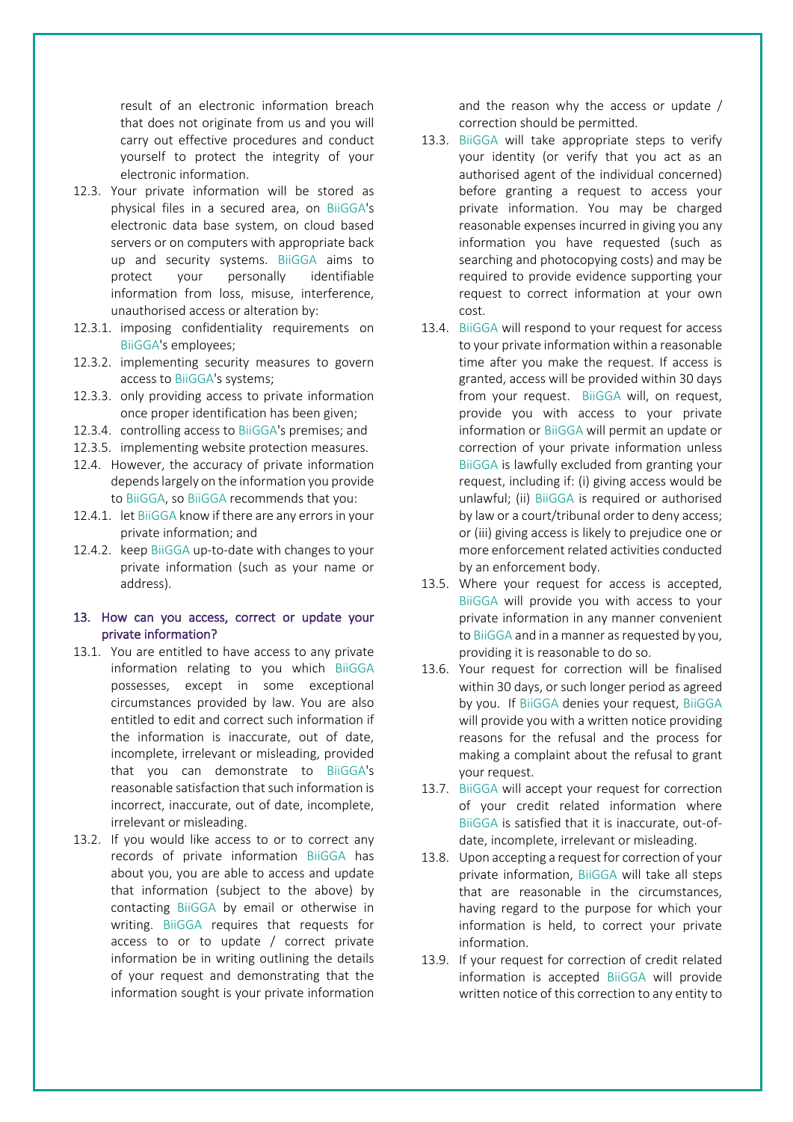result of an electronic information breach that does not originate from us and you will carry out effective procedures and conduct yourself to protect the integrity of your electronic information.

- 12.3. Your private information will be stored as physical files in a secured area, on BiiGGA's electronic data base system, on cloud based servers or on computers with appropriate back up and security systems. BiiGGA aims to protect your personally identifiable information from loss, misuse, interference, unauthorised access or alteration by:
- 12.3.1. imposing confidentiality requirements on BiiGGA's employees;
- 12.3.2. implementing security measures to govern access to BiiGGA's systems;
- 12.3.3. only providing access to private information once proper identification has been given;
- 12.3.4. controlling access to BiiGGA's premises; and
- 12.3.5. implementing website protection measures.
- 12.4. However, the accuracy of private information depends largely on the information you provide to BiiGGA, so BiiGGA recommends that you:
- 12.4.1. let BiiGGA know if there are any errors in your private information; and
- 12.4.2. keep BiiGGA up-to-date with changes to your private information (such as your name or address).

# 13. How can you access, correct or update your private information?

- 13.1. You are entitled to have access to any private information relating to you which BiiGGA possesses, except in some exceptional circumstances provided by law. You are also entitled to edit and correct such information if the information is inaccurate, out of date, incomplete, irrelevant or misleading, provided that you can demonstrate to BiiGGA's reasonable satisfaction that such information is incorrect, inaccurate, out of date, incomplete, irrelevant or misleading.
- 13.2. If you would like access to or to correct any records of private information BiiGGA has about you, you are able to access and update that information (subject to the above) by contacting BiiGGA by email or otherwise in writing. BiiGGA requires that requests for access to or to update / correct private information be in writing outlining the details of your request and demonstrating that the information sought is your private information

and the reason why the access or update / correction should be permitted.

- 13.3. BiiGGA will take appropriate steps to verify your identity (or verify that you act as an authorised agent of the individual concerned) before granting a request to access your private information. You may be charged reasonable expenses incurred in giving you any information you have requested (such as searching and photocopying costs) and may be required to provide evidence supporting your request to correct information at your own cost.
- 13.4. BiiGGA will respond to your request for access to your private information within a reasonable time after you make the request. If access is granted, access will be provided within 30 days from your request. BiiGGA will, on request, provide you with access to your private information or BiiGGA will permit an update or correction of your private information unless BiiGGA is lawfully excluded from granting your request, including if: (i) giving access would be unlawful; (ii) BiiGGA is required or authorised by law or a court/tribunal order to deny access; or (iii) giving access is likely to prejudice one or more enforcement related activities conducted by an enforcement body.
- 13.5. Where your request for access is accepted, BiiGGA will provide you with access to your private information in any manner convenient to BiiGGA and in a manner as requested by you, providing it is reasonable to do so.
- 13.6. Your request for correction will be finalised within 30 days, or such longer period as agreed by you. If BiiGGA denies your request, BiiGGA will provide you with a written notice providing reasons for the refusal and the process for making a complaint about the refusal to grant your request.
- 13.7. BiiGGA will accept your request for correction of your credit related information where BiiGGA is satisfied that it is inaccurate, out-ofdate, incomplete, irrelevant or misleading.
- 13.8. Upon accepting a request for correction of your private information, BiiGGA will take all steps that are reasonable in the circumstances, having regard to the purpose for which your information is held, to correct your private information.
- 13.9. If your request for correction of credit related information is accepted BiiGGA will provide written notice of this correction to any entity to